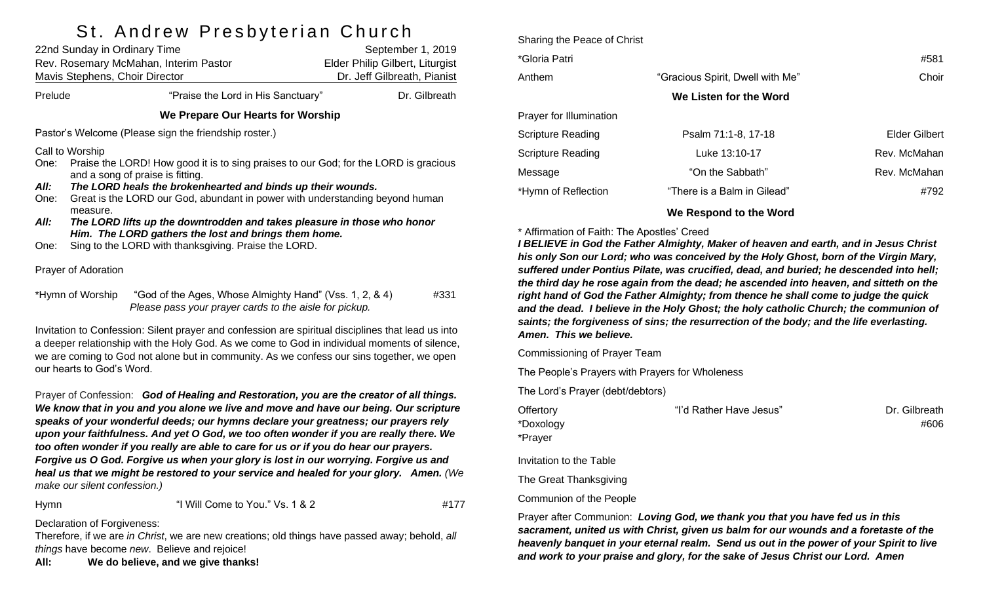# St Andrew Preshyterian Church

| 22nd Sunday in Ordinary Time<br>Rev. Rosemary McMahan, Interim Pastor<br>Mavis Stephens, Choir Director                                                                                            |                                                                                                                                                                                                                                                                                                                                                                                                                                                                                                   |                                                                                                                   | September 1, 2019<br>Elder Philip Gilbert, Liturgist<br>Dr. Jeff Gilbreath, Pianist |  |  |
|----------------------------------------------------------------------------------------------------------------------------------------------------------------------------------------------------|---------------------------------------------------------------------------------------------------------------------------------------------------------------------------------------------------------------------------------------------------------------------------------------------------------------------------------------------------------------------------------------------------------------------------------------------------------------------------------------------------|-------------------------------------------------------------------------------------------------------------------|-------------------------------------------------------------------------------------|--|--|
| Prelude                                                                                                                                                                                            |                                                                                                                                                                                                                                                                                                                                                                                                                                                                                                   | "Praise the Lord in His Sanctuary"                                                                                | Dr. Gilbreath                                                                       |  |  |
| We Prepare Our Hearts for Worship                                                                                                                                                                  |                                                                                                                                                                                                                                                                                                                                                                                                                                                                                                   |                                                                                                                   |                                                                                     |  |  |
| Pastor's Welcome (Please sign the friendship roster.)                                                                                                                                              |                                                                                                                                                                                                                                                                                                                                                                                                                                                                                                   |                                                                                                                   |                                                                                     |  |  |
| One:<br>All:<br>One:<br>All:<br>One:                                                                                                                                                               | Call to Worship<br>Praise the LORD! How good it is to sing praises to our God; for the LORD is gracious<br>and a song of praise is fitting.<br>The LORD heals the brokenhearted and binds up their wounds.<br>Great is the LORD our God, abundant in power with understanding beyond human<br>measure.<br>The LORD lifts up the downtrodden and takes pleasure in those who honor<br>Him. The LORD gathers the lost and brings them home.<br>Sing to the LORD with thanksgiving. Praise the LORD. |                                                                                                                   |                                                                                     |  |  |
| Prayer of Adoration                                                                                                                                                                                |                                                                                                                                                                                                                                                                                                                                                                                                                                                                                                   |                                                                                                                   |                                                                                     |  |  |
| *Hymn of Worship                                                                                                                                                                                   |                                                                                                                                                                                                                                                                                                                                                                                                                                                                                                   | "God of the Ages, Whose Almighty Hand" (Vss. 1, 2, & 4)<br>Please pass your prayer cards to the aisle for pickup. | #331                                                                                |  |  |
| Invitation to Confession: Silent prayer and confession are spiritual disciplines that lead us into<br>a deeper relationship with the Holy God. As we come to God in individual moments of silence, |                                                                                                                                                                                                                                                                                                                                                                                                                                                                                                   |                                                                                                                   |                                                                                     |  |  |

Prayer of Confession: *God of Healing and Restoration, you are the creator of all things. We know that in you and you alone we live and move and have our being. Our scripture speaks of your wonderful deeds; our hymns declare your greatness; our prayers rely upon your faithfulness. And yet O God, we too often wonder if you are really there. We too often wonder if you really are able to care for us or if you do hear our prayers. Forgive us O God. Forgive us when your glory is lost in our worrying. Forgive us and heal us that we might be restored to your service and healed for your glory. Amen. (We make our silent confession.)*

we are coming to God not alone but in community. As we confess our sins together, we open

Hymn "I Will Come to You." Vs. 1 & 2 #177

Declaration of Forgiveness:

our hearts to God's Word.

Therefore, if we are *in Christ*, we are new creations; old things have passed away; behold, *all things* have become *new*. Believe and rejoice!

**All: We do believe, and we give thanks!**

| Sharing the Peace of Christ |                                  |               |
|-----------------------------|----------------------------------|---------------|
| *Gloria Patri               |                                  | #581          |
| Anthem                      | "Gracious Spirit, Dwell with Me" | Choir         |
|                             | We Listen for the Word           |               |
| Prayer for Illumination     |                                  |               |
| <b>Scripture Reading</b>    | Psalm 71:1-8, 17-18              | Elder Gilbert |
| <b>Scripture Reading</b>    | Luke 13:10-17                    | Rev. McMahan  |
| Message                     | "On the Sabbath"                 | Rev. McMahan  |
| *Hymn of Reflection         | "There is a Balm in Gilead"      | #792          |

### **We Respond to the Word**

#### \* Affirmation of Faith: The Apostles' Creed

*I BELIEVE in God the Father Almighty, Maker of heaven and earth, and in Jesus Christ his only Son our Lord; who was conceived by the Holy Ghost, born of the Virgin Mary, suffered under Pontius Pilate, was crucified, dead, and buried; he descended into hell; the third day he rose again from the dead; he ascended into heaven, and sitteth on the right hand of God the Father Almighty; from thence he shall come to judge the quick and the dead. I believe in the Holy Ghost; the holy catholic Church; the communion of saints; the forgiveness of sins; the resurrection of the body; and the life everlasting. Amen. This we believe.*

Commissioning of Prayer Team

The People's Prayers with Prayers for Wholeness

The Lord's Prayer (debt/debtors)

| Offertory               | "I'd Rather Have Jesus" | Dr. Gilbreath |
|-------------------------|-------------------------|---------------|
| *Doxology               |                         | #606          |
| *Prayer                 |                         |               |
| Invitation to the Table |                         |               |
| The Great Thanksgiving  |                         |               |

Communion of the People

Prayer after Communion: *Loving God, we thank you that you have fed us in this sacrament, united us with Christ, given us balm for our wounds and a foretaste of the heavenly banquet in your eternal realm. Send us out in the power of your Spirit to live and work to your praise and glory, for the sake of Jesus Christ our Lord. Amen*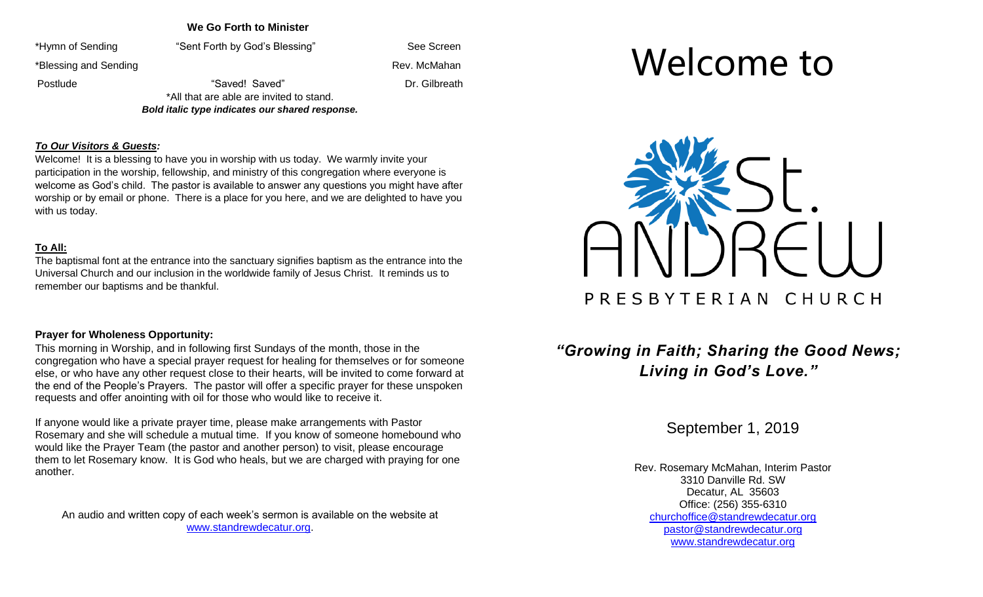### **We Go Forth to Minister**

\*Hymn of Sending "Sent Forth by God's Blessing" See Screen

\*Blessing and Sending Rev. McMahan **Rev. McMahan** 

Postlude **1988 CONFIDENT** Transformation of "Saved! Saved" **Dr. Gilbreath** \*All that are able are invited to stand.

*Bold italic type indicates our shared response.*

### *To Our Visitors & Guests:*

Welcome! It is a blessing to have you in worship with us today. We warmly invite your participation in the worship, fellowship, and ministry of this congregation where everyone is welcome as God's child. The pastor is available to answer any questions you might have after worship or by email or phone. There is a place for you here, and we are delighted to have you with us today.

### **To All:**

The baptismal font at the entrance into the sanctuary signifies baptism as the entrance into the Universal Church and our inclusion in the worldwide family of Jesus Christ. It reminds us to remember our baptisms and be thankful.

## **Prayer for Wholeness Opportunity:**

This morning in Worship, and in following first Sundays of the month, those in the congregation who have a special prayer request for healing for themselves or for someone else, or who have any other request close to their hearts, will be invited to come forward at the end of the People's Prayers. The pastor will offer a specific prayer for these unspoken requests and offer anointing with oil for those who would like to receive it.

If anyone would like a private prayer time, please make arrangements with Pastor Rosemary and she will schedule a mutual time. If you know of someone homebound who would like the Prayer Team (the pastor and another person) to visit, please encourage them to let Rosemary know. It is God who heals, but we are charged with praying for one another.

An audio and written copy of each week's sermon is available on the website at [www.standrewdecatur.org.](http://www.standrewdecatur.org/)

# Welcome to



# *"Growing in Faith; Sharing the Good News; Living in God's Love."*

September 1, 2019

Rev. Rosemary McMahan, Interim Pastor 3310 Danville Rd. SW Decatur, AL 35603 Office: (256) 355-6310 [churchoffice@standrewdecatur.org](mailto:churchoffice@standrewdecatur.org) pastor@standrewdecatur.org [www.standrewdecatur.org](http://www.standrewdecatur.org/)